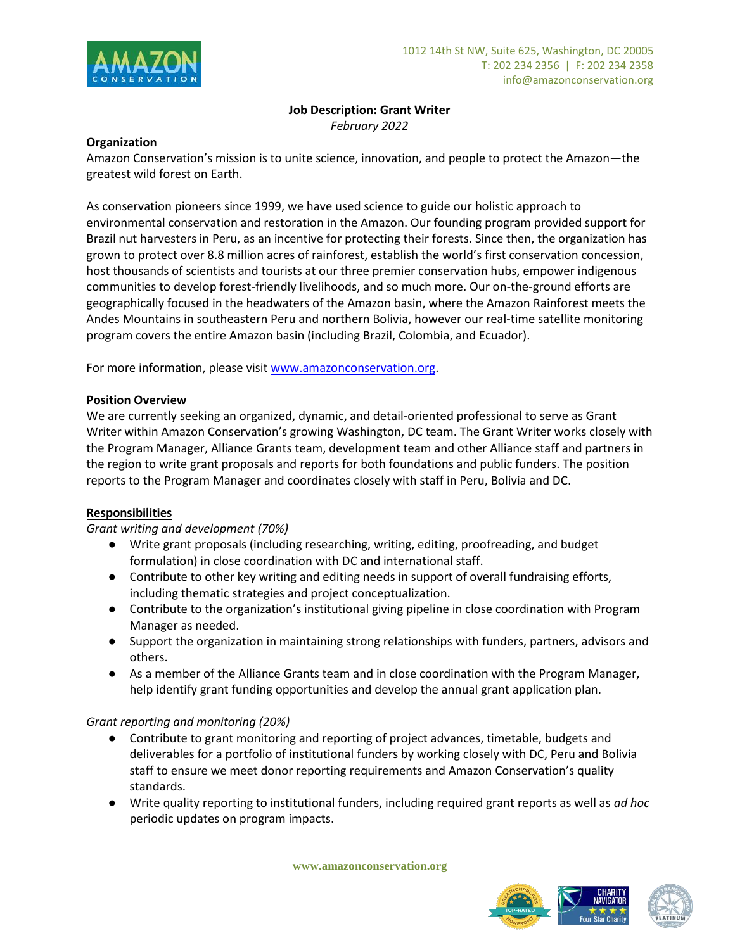

### **Job Description: Grant Writer**  *February 2022*

## **Organization**

Amazon Conservation's mission is to unite science, innovation, and people to protect the Amazon—the greatest wild forest on Earth.

As conservation pioneers since 1999, we have used science to guide our holistic approach to environmental conservation and restoration in the Amazon. Our founding program provided support for Brazil nut harvesters in Peru, as an incentive for protecting their forests. Since then, the organization has grown to protect over 8.8 million acres of rainforest, establish the world's first conservation concession, host thousands of scientists and tourists at our three premier conservation hubs, empower indigenous communities to develop forest-friendly livelihoods, and so much more. Our on-the-ground efforts are geographically focused in the headwaters of the Amazon basin, where the Amazon Rainforest meets the Andes Mountains in southeastern Peru and northern Bolivia, however our real-time satellite monitoring program covers the entire Amazon basin (including Brazil, Colombia, and Ecuador).

For more information, please visi[t www.amazonconservation.org.](about:blank)

## **Position Overview**

We are currently seeking an organized, dynamic, and detail-oriented professional to serve as Grant Writer within Amazon Conservation's growing Washington, DC team. The Grant Writer works closely with the Program Manager, Alliance Grants team, development team and other Alliance staff and partners in the region to write grant proposals and reports for both foundations and public funders. The position reports to the Program Manager and coordinates closely with staff in Peru, Bolivia and DC.

## **Responsibilities**

*Grant writing and development (70%)* 

- Write grant proposals (including researching, writing, editing, proofreading, and budget formulation) in close coordination with DC and international staff.
- Contribute to other key writing and editing needs in support of overall fundraising efforts, including thematic strategies and project conceptualization.
- Contribute to the organization's institutional giving pipeline in close coordination with Program Manager as needed.
- Support the organization in maintaining strong relationships with funders, partners, advisors and others.
- As a member of the Alliance Grants team and in close coordination with the Program Manager, help identify grant funding opportunities and develop the annual grant application plan.

#### *Grant reporting and monitoring (20%)*

- Contribute to grant monitoring and reporting of project advances, timetable, budgets and deliverables for a portfolio of institutional funders by working closely with DC, Peru and Bolivia staff to ensure we meet donor reporting requirements and Amazon Conservation's quality standards.
- Write quality reporting to institutional funders, including required grant reports as well as *ad hoc* periodic updates on program impacts.

**www.amazonconservation.org**



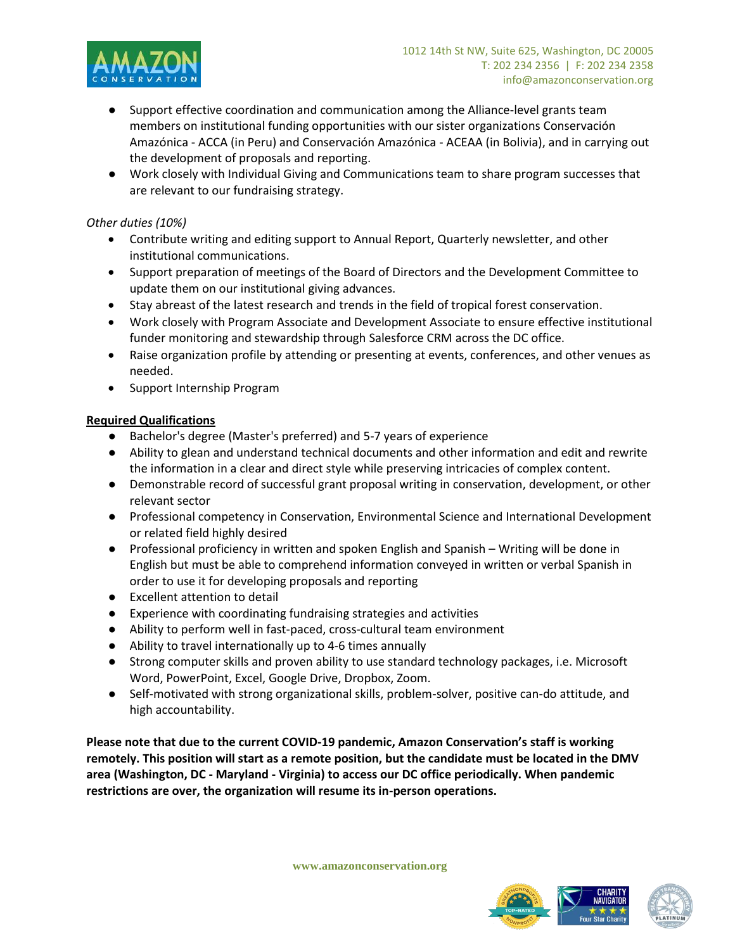

- Support effective coordination and communication among the Alliance-level grants team members on institutional funding opportunities with our sister organizations Conservación Amazónica - ACCA (in Peru) and Conservación Amazónica - ACEAA (in Bolivia), and in carrying out the development of proposals and reporting.
- Work closely with Individual Giving and Communications team to share program successes that are relevant to our fundraising strategy.

# *Other duties (10%)*

- Contribute writing and editing support to Annual Report, Quarterly newsletter, and other institutional communications.
- Support preparation of meetings of the Board of Directors and the Development Committee to update them on our institutional giving advances.
- Stay abreast of the latest research and trends in the field of tropical forest conservation.
- Work closely with Program Associate and Development Associate to ensure effective institutional funder monitoring and stewardship through Salesforce CRM across the DC office.
- Raise organization profile by attending or presenting at events, conferences, and other venues as needed.
- Support Internship Program

## **Required Qualifications**

- Bachelor's degree (Master's preferred) and 5-7 years of experience
- Ability to glean and understand technical documents and other information and edit and rewrite the information in a clear and direct style while preserving intricacies of complex content.
- Demonstrable record of successful grant proposal writing in conservation, development, or other relevant sector
- Professional competency in Conservation, Environmental Science and International Development or related field highly desired
- Professional proficiency in written and spoken English and Spanish Writing will be done in English but must be able to comprehend information conveyed in written or verbal Spanish in order to use it for developing proposals and reporting
- Excellent attention to detail
- Experience with coordinating fundraising strategies and activities
- Ability to perform well in fast-paced, cross-cultural team environment
- Ability to travel internationally up to 4-6 times annually
- Strong computer skills and proven ability to use standard technology packages, i.e. Microsoft Word, PowerPoint, Excel, Google Drive, Dropbox, Zoom.
- Self-motivated with strong organizational skills, problem-solver, positive can-do attitude, and high accountability.

**Please note that due to the current COVID-19 pandemic, Amazon Conservation's staff is working remotely. This position will start as a remote position, but the candidate must be located in the DMV area (Washington, DC - Maryland - Virginia) to access our DC office periodically. When pandemic restrictions are over, the organization will resume its in-person operations.**

**www.amazonconservation.org**